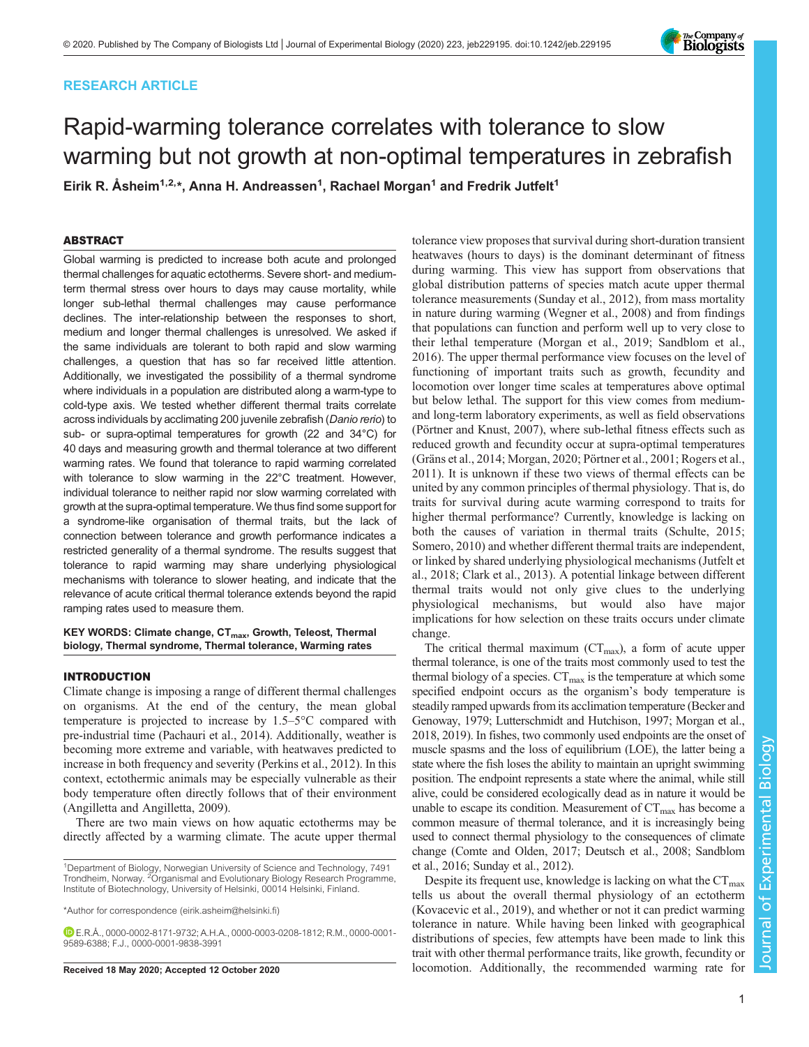## RESEARCH ARTICLE

# Rapid-warming tolerance correlates with tolerance to slow warming but not growth at non-optimal temperatures in zebrafish

Eirik R. Åsheim<sup>1,2,</sup>\*, Anna H. Andreassen<sup>1</sup>, Rachael Morgan<sup>1</sup> and Fredrik Jutfelt<sup>1</sup>

## ABSTRACT

Global warming is predicted to increase both acute and prolonged thermal challenges for aquatic ectotherms. Severe short- and mediumterm thermal stress over hours to days may cause mortality, while longer sub-lethal thermal challenges may cause performance declines. The inter-relationship between the responses to short, medium and longer thermal challenges is unresolved. We asked if the same individuals are tolerant to both rapid and slow warming challenges, a question that has so far received little attention. Additionally, we investigated the possibility of a thermal syndrome where individuals in a population are distributed along a warm-type to cold-type axis. We tested whether different thermal traits correlate across individuals by acclimating 200 juvenile zebrafish (Danio rerio) to sub- or supra-optimal temperatures for growth (22 and 34°C) for 40 days and measuring growth and thermal tolerance at two different warming rates. We found that tolerance to rapid warming correlated with tolerance to slow warming in the 22°C treatment. However, individual tolerance to neither rapid nor slow warming correlated with growth at the supra-optimal temperature. We thus find some support for a syndrome-like organisation of thermal traits, but the lack of connection between tolerance and growth performance indicates a restricted generality of a thermal syndrome. The results suggest that tolerance to rapid warming may share underlying physiological mechanisms with tolerance to slower heating, and indicate that the relevance of acute critical thermal tolerance extends beyond the rapid ramping rates used to measure them.

KEY WORDS: Climate change, CT<sub>max</sub>, Growth, Teleost, Thermal biology, Thermal syndrome, Thermal tolerance, Warming rates

## INTRODUCTION

Climate change is imposing a range of different thermal challenges on organisms. At the end of the century, the mean global temperature is projected to increase by 1.5–5°C compared with pre-industrial time [\(Pachauri et al., 2014](#page-6-0)). Additionally, weather is becoming more extreme and variable, with heatwaves predicted to increase in both frequency and severity [\(Perkins et al., 2012](#page-6-0)). In this context, ectothermic animals may be especially vulnerable as their body temperature often directly follows that of their environment [\(Angilletta and Angilletta, 2009](#page-6-0)).

There are two main views on how aquatic ectotherms may be directly affected by a warming climate. The acute upper thermal

1 Department of Biology, Norwegian University of Science and Technology, 7491 Trondheim, Norway. <sup>2</sup> Organismal and Evolutionary Biology Research Programme, Institute of Biotechnology, University of Helsinki, 00014 Helsinki, Finland.

\*Author for correspondence [\(eirik.asheim@helsinki.fi\)](mailto:eirik.asheim@helsinki.fi)

E.R.Å., [0000-0002-8171-9732;](http://orcid.org/0000-0002-8171-9732) A.H.A., [0000-0003-0208-1812;](http://orcid.org/0000-0003-0208-1812) R.M., [0000-0001-](http://orcid.org/0000-0001-9589-6388) [9589-6388](http://orcid.org/0000-0001-9589-6388); F.J., [0000-0001-9838-3991](http://orcid.org/0000-0001-9838-3991)

heatwaves (hours to days) is the dominant determinant of fitness during warming. This view has support from observations that global distribution patterns of species match acute upper thermal tolerance measurements ([Sunday et al., 2012](#page-6-0)), from mass mortality in nature during warming ([Wegner et al., 2008\)](#page-6-0) and from findings that populations can function and perform well up to very close to their lethal temperature ([Morgan et al., 2019](#page-6-0); [Sandblom et al.,](#page-6-0) [2016\)](#page-6-0). The upper thermal performance view focuses on the level of functioning of important traits such as growth, fecundity and locomotion over longer time scales at temperatures above optimal but below lethal. The support for this view comes from mediumand long-term laboratory experiments, as well as field observations [\(Pörtner and Knust, 2007](#page-6-0)), where sub-lethal fitness effects such as reduced growth and fecundity occur at supra-optimal temperatures [\(Gräns et al., 2014; Morgan, 2020](#page-6-0); [Pörtner et al., 2001](#page-6-0); [Rogers et al.,](#page-6-0) [2011\)](#page-6-0). It is unknown if these two views of thermal effects can be united by any common principles of thermal physiology. That is, do traits for survival during acute warming correspond to traits for higher thermal performance? Currently, knowledge is lacking on both the causes of variation in thermal traits [\(Schulte, 2015](#page-6-0); [Somero, 2010](#page-6-0)) and whether different thermal traits are independent, or linked by shared underlying physiological mechanisms ([Jutfelt et](#page-6-0) [al., 2018; Clark et al., 2013](#page-6-0)). A potential linkage between different thermal traits would not only give clues to the underlying physiological mechanisms, but would also have major implications for how selection on these traits occurs under climate change. The critical thermal maximum ( $CT_{\text{max}}$ ), a form of acute upper

tolerance view proposes that survival during short-duration transient

thermal tolerance, is one of the traits most commonly used to test the thermal biology of a species.  $CT_{\text{max}}$  is the temperature at which some specified endpoint occurs as the organism's body temperature is steadily ramped upwards from its acclimation temperature [\(Becker and](#page-6-0) [Genoway, 1979](#page-6-0); [Lutterschmidt and Hutchison, 1997](#page-6-0); [Morgan et al.,](#page-6-0) [2018](#page-6-0), [2019](#page-6-0)). In fishes, two commonly used endpoints are the onset of muscle spasms and the loss of equilibrium (LOE), the latter being a state where the fish loses the ability to maintain an upright swimming position. The endpoint represents a state where the animal, while still alive, could be considered ecologically dead as in nature it would be unable to escape its condition. Measurement of  $CT_{\text{max}}$  has become a common measure of thermal tolerance, and it is increasingly being used to connect thermal physiology to the consequences of climate change ([Comte and Olden, 2017; Deutsch et al., 2008](#page-6-0); [Sandblom](#page-6-0) [et al., 2016](#page-6-0); [Sunday et al., 2012](#page-6-0)).

Despite its frequent use, knowledge is lacking on what the  $CT_{\text{max}}$ tells us about the overall thermal physiology of an ectotherm [\(Kovacevic et al., 2019](#page-6-0)), and whether or not it can predict warming tolerance in nature. While having been linked with geographical distributions of species, few attempts have been made to link this trait with other thermal performance traits, like growth, fecundity or Received 18 May 2020; Accepted 12 October 2020 locomotion. Additionally, the recommended warming rate for

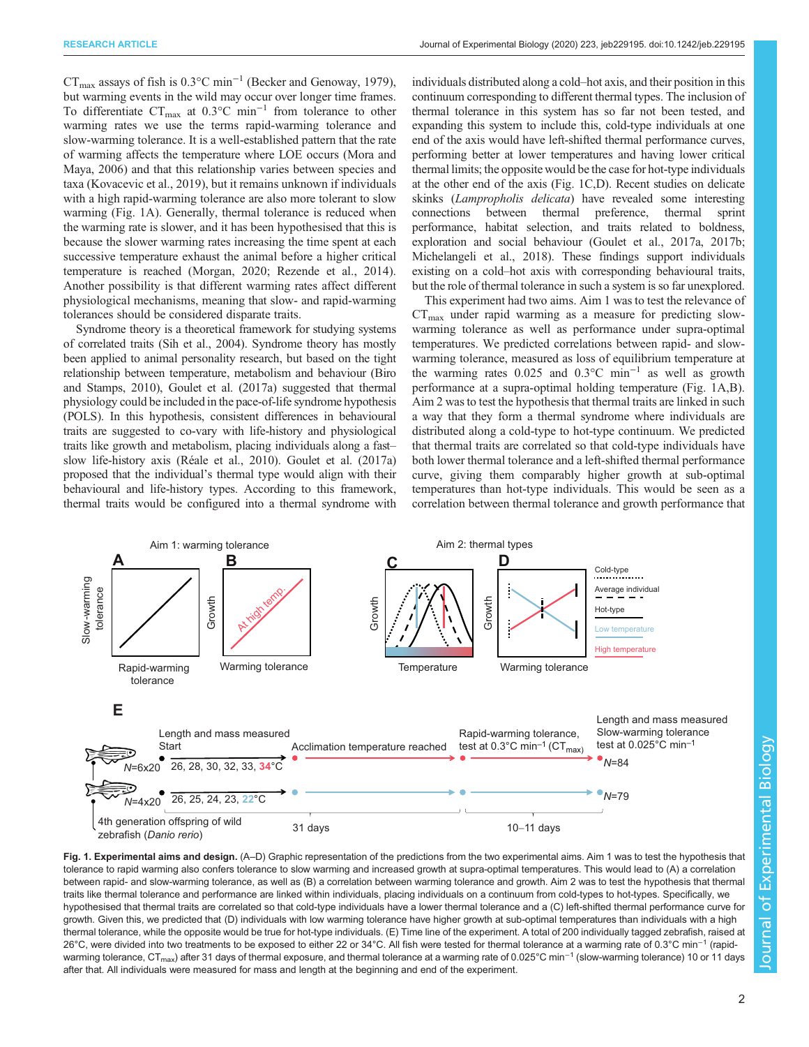<span id="page-1-0"></span> $CT_{\text{max}}$  assays of fish is 0.3°C min<sup>-1</sup> [\(Becker and Genoway, 1979\)](#page-6-0), but warming events in the wild may occur over longer time frames. To differentiate  $CT_{\text{max}}$  at 0.3°C min<sup>-1</sup> from tolerance to other warming rates we use the terms rapid-warming tolerance and slow-warming tolerance. It is a well-established pattern that the rate of warming affects the temperature where LOE occurs ([Mora and](#page-6-0) [Maya, 2006](#page-6-0)) and that this relationship varies between species and taxa ([Kovacevic et al., 2019](#page-6-0)), but it remains unknown if individuals with a high rapid-warming tolerance are also more tolerant to slow warming (Fig. 1A). Generally, thermal tolerance is reduced when the warming rate is slower, and it has been hypothesised that this is because the slower warming rates increasing the time spent at each successive temperature exhaust the animal before a higher critical temperature is reached ([Morgan, 2020](#page-6-0); [Rezende et al., 2014\)](#page-6-0). Another possibility is that different warming rates affect different physiological mechanisms, meaning that slow- and rapid-warming tolerances should be considered disparate traits.

Syndrome theory is a theoretical framework for studying systems of correlated traits [\(Sih et al., 2004](#page-6-0)). Syndrome theory has mostly been applied to animal personality research, but based on the tight relationship between temperature, metabolism and behaviour ([Biro](#page-6-0) [and Stamps, 2010](#page-6-0)), [Goulet et al. \(2017a\)](#page-6-0) suggested that thermal physiology could be included in the pace-of-life syndrome hypothesis (POLS). In this hypothesis, consistent differences in behavioural traits are suggested to co-vary with life-history and physiological traits like growth and metabolism, placing individuals along a fast– slow life-history axis ([Réale et al., 2010](#page-6-0)). [Goulet et al. \(2017a\)](#page-6-0) proposed that the individual's thermal type would align with their behavioural and life-history types. According to this framework, thermal traits would be configured into a thermal syndrome with

individuals distributed along a cold–hot axis, and their position in this continuum corresponding to different thermal types. The inclusion of thermal tolerance in this system has so far not been tested, and expanding this system to include this, cold-type individuals at one end of the axis would have left-shifted thermal performance curves, performing better at lower temperatures and having lower critical thermal limits; the opposite would be the case for hot-type individuals at the other end of the axis (Fig. 1C,D). Recent studies on delicate skinks (Lampropholis delicata) have revealed some interesting connections between thermal preference, thermal sprint performance, habitat selection, and traits related to boldness, exploration and social behaviour [\(Goulet et al., 2017a](#page-6-0), [2017b](#page-6-0); [Michelangeli et al., 2018](#page-6-0)). These findings support individuals existing on a cold–hot axis with corresponding behavioural traits, but the role of thermal tolerance in such a system is so far unexplored.

This experiment had two aims. Aim 1 was to test the relevance of  $CT_{\text{max}}$  under rapid warming as a measure for predicting slowwarming tolerance as well as performance under supra-optimal temperatures. We predicted correlations between rapid- and slowwarming tolerance, measured as loss of equilibrium temperature at the warming rates 0.025 and 0.3°C min<sup>-1</sup> as well as growth performance at a supra-optimal holding temperature (Fig. 1A,B). Aim 2 was to test the hypothesis that thermal traits are linked in such a way that they form a thermal syndrome where individuals are distributed along a cold-type to hot-type continuum. We predicted that thermal traits are correlated so that cold-type individuals have both lower thermal tolerance and a left-shifted thermal performance curve, giving them comparably higher growth at sub-optimal temperatures than hot-type individuals. This would be seen as a correlation between thermal tolerance and growth performance that



Fig. 1. Experimental aims and design. (A-D) Graphic representation of the predictions from the two experimental aims. Aim 1 was to test the hypothesis that tolerance to rapid warming also confers tolerance to slow warming and increased growth at supra-optimal temperatures. This would lead to (A) a correlation between rapid- and slow-warming tolerance, as well as (B) a correlation between warming tolerance and growth. Aim 2 was to test the hypothesis that thermal traits like thermal tolerance and performance are linked within individuals, placing individuals on a continuum from cold-types to hot-types. Specifically, we hypothesised that thermal traits are correlated so that cold-type individuals have a lower thermal tolerance and a (C) left-shifted thermal performance curve for growth. Given this, we predicted that (D) individuals with low warming tolerance have higher growth at sub-optimal temperatures than individuals with a high thermal tolerance, while the opposite would be true for hot-type individuals. (E) Time line of the experiment. A total of 200 individually tagged zebrafish, raised at 26°C, were divided into two treatments to be exposed to either 22 or 34°C. All fish were tested for thermal tolerance at a warming rate of 0.3°C min−<sup>1</sup> (rapidwarming tolerance, CT<sub>max</sub>) after 31 days of thermal exposure, and thermal tolerance at a warming rate of 0.025°C min<sup>-1</sup> (slow-warming tolerance) 10 or 11 days after that. All individuals were measured for mass and length at the beginning and end of the experiment.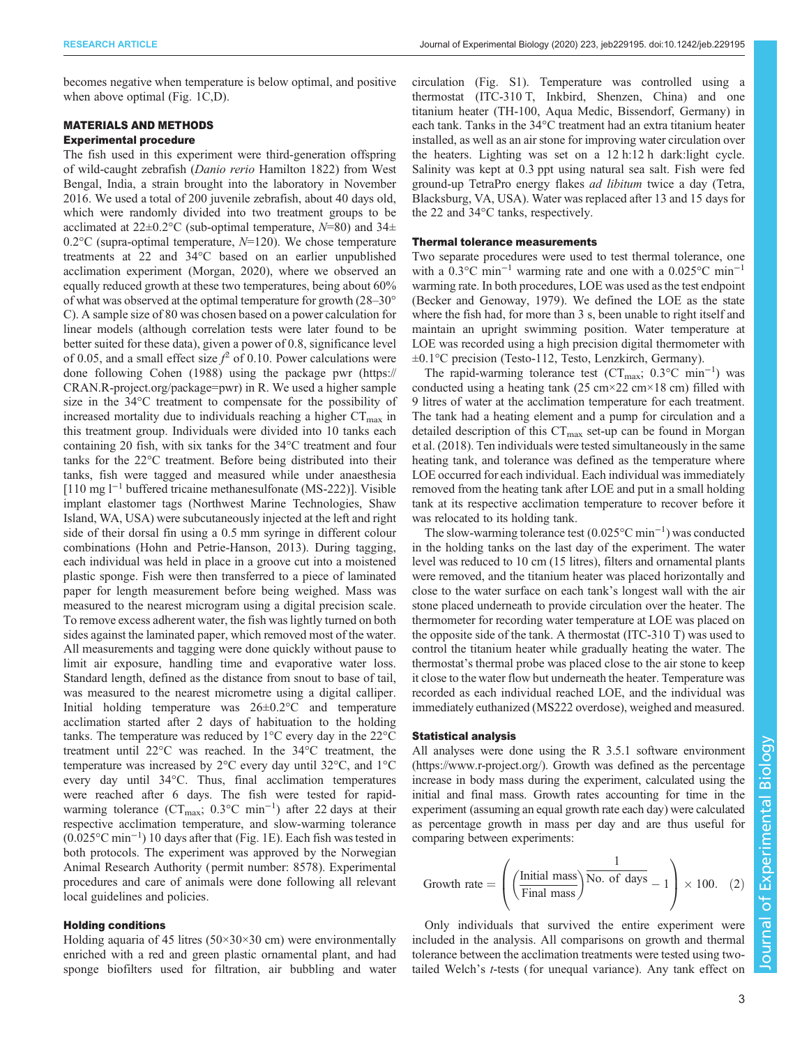becomes negative when temperature is below optimal, and positive when above optimal ([Fig. 1C](#page-1-0),D).

## MATERIALS AND METHODS

## Experimental procedure

The fish used in this experiment were third-generation offspring of wild-caught zebrafish (Danio rerio Hamilton 1822) from West Bengal, India, a strain brought into the laboratory in November 2016. We used a total of 200 juvenile zebrafish, about 40 days old, which were randomly divided into two treatment groups to be acclimated at  $22\pm0.2^{\circ}$ C (sub-optimal temperature,  $N=80$ ) and  $34\pm$ 0.2°C (supra-optimal temperature,  $N=120$ ). We chose temperature treatments at 22 and 34°C based on an earlier unpublished acclimation experiment ([Morgan, 2020](#page-6-0)), where we observed an equally reduced growth at these two temperatures, being about 60% of what was observed at the optimal temperature for growth (28–30° C). A sample size of 80 was chosen based on a power calculation for linear models (although correlation tests were later found to be better suited for these data), given a power of 0.8, significance level of 0.05, and a small effect size  $f^2$  of 0.10. Power calculations were done following [Cohen \(1988\)](#page-6-0) using the package pwr ([https://](https://CRAN.R-project.org/package=pwr) [CRAN.R-project.org/package=pwr](https://CRAN.R-project.org/package=pwr)) in R. We used a higher sample size in the 34°C treatment to compensate for the possibility of increased mortality due to individuals reaching a higher  $CT_{\text{max}}$  in this treatment group. Individuals were divided into 10 tanks each containing 20 fish, with six tanks for the 34°C treatment and four tanks for the 22°C treatment. Before being distributed into their tanks, fish were tagged and measured while under anaesthesia [110 mg l−<sup>1</sup> buffered tricaine methanesulfonate (MS-222)]. Visible implant elastomer tags (Northwest Marine Technologies, Shaw Island, WA, USA) were subcutaneously injected at the left and right side of their dorsal fin using a 0.5 mm syringe in different colour combinations ([Hohn and Petrie-Hanson, 2013\)](#page-6-0). During tagging, each individual was held in place in a groove cut into a moistened plastic sponge. Fish were then transferred to a piece of laminated paper for length measurement before being weighed. Mass was measured to the nearest microgram using a digital precision scale. To remove excess adherent water, the fish was lightly turned on both sides against the laminated paper, which removed most of the water. All measurements and tagging were done quickly without pause to limit air exposure, handling time and evaporative water loss. Standard length, defined as the distance from snout to base of tail, was measured to the nearest micrometre using a digital calliper. Initial holding temperature was 26±0.2°C and temperature acclimation started after 2 days of habituation to the holding tanks. The temperature was reduced by 1°C every day in the 22°C treatment until 22°C was reached. In the 34°C treatment, the temperature was increased by 2°C every day until 32°C, and 1°C every day until 34°C. Thus, final acclimation temperatures were reached after 6 days. The fish were tested for rapidwarming tolerance (CT<sub>max</sub>; 0.3°C min<sup>-1</sup>) after 22 days at their respective acclimation temperature, and slow-warming tolerance (0.025°C min−<sup>1</sup> ) 10 days after that [\(Fig. 1](#page-1-0)E). Each fish was tested in both protocols. The experiment was approved by the Norwegian Animal Research Authority ( permit number: 8578). Experimental procedures and care of animals were done following all relevant local guidelines and policies.

## Holding conditions

Holding aquaria of 45 litres ( $50 \times 30 \times 30$  cm) were environmentally enriched with a red and green plastic ornamental plant, and had sponge biofilters used for filtration, air bubbling and water circulation ([Fig. S1](https://jeb.biologists.org/lookup/doi/10.1242/jeb.229195.supplemental)). Temperature was controlled using a thermostat (ITC-310 T, Inkbird, Shenzen, China) and one titanium heater (TH-100, Aqua Medic, Bissendorf, Germany) in each tank. Tanks in the 34°C treatment had an extra titanium heater installed, as well as an air stone for improving water circulation over the heaters. Lighting was set on a 12 h:12 h dark:light cycle. Salinity was kept at 0.3 ppt using natural sea salt. Fish were fed ground-up TetraPro energy flakes ad libitum twice a day (Tetra, Blacksburg, VA, USA). Water was replaced after 13 and 15 days for the 22 and 34°C tanks, respectively.

#### Thermal tolerance measurements

Two separate procedures were used to test thermal tolerance, one with a 0.3°C min<sup>-1</sup> warming rate and one with a 0.025°C min<sup>-1</sup> warming rate. In both procedures, LOE was used as the test endpoint [\(Becker and Genoway, 1979](#page-6-0)). We defined the LOE as the state where the fish had, for more than 3 s, been unable to right itself and maintain an upright swimming position. Water temperature at LOE was recorded using a high precision digital thermometer with ±0.1°C precision (Testo-112, Testo, Lenzkirch, Germany).

The rapid-warming tolerance test ( $CT_{\text{max}}$ ; 0.3°C min<sup>-1</sup>) was conducted using a heating tank (25 cm $\times$ 22 cm $\times$ 18 cm) filled with 9 litres of water at the acclimation temperature for each treatment. The tank had a heating element and a pump for circulation and a detailed description of this  $CT_{\text{max}}$  set-up can be found in [Morgan](#page-6-0) [et al. \(2018\).](#page-6-0) Ten individuals were tested simultaneously in the same heating tank, and tolerance was defined as the temperature where LOE occurred for each individual. Each individual was immediately removed from the heating tank after LOE and put in a small holding tank at its respective acclimation temperature to recover before it was relocated to its holding tank.

The slow-warming tolerance test (0.025°C min−<sup>1</sup> ) was conducted in the holding tanks on the last day of the experiment. The water level was reduced to 10 cm (15 litres), filters and ornamental plants were removed, and the titanium heater was placed horizontally and close to the water surface on each tank's longest wall with the air stone placed underneath to provide circulation over the heater. The thermometer for recording water temperature at LOE was placed on the opposite side of the tank. A thermostat (ITC-310 T) was used to control the titanium heater while gradually heating the water. The thermostat's thermal probe was placed close to the air stone to keep it close to the water flow but underneath the heater. Temperature was recorded as each individual reached LOE, and the individual was immediately euthanized (MS222 overdose), weighed and measured.

#### Statistical analysis

All analyses were done using the R 3.5.1 software environment [\(https://www.r-project.org/\)](https://www.r-project.org/). Growth was defined as the percentage increase in body mass during the experiment, calculated using the initial and final mass. Growth rates accounting for time in the experiment (assuming an equal growth rate each day) were calculated as percentage growth in mass per day and are thus useful for comparing between experiments:

Growth rate = 
$$
\left( \left( \frac{\text{Initial mass}}{\text{Final mass}} \right) \overline{\text{No. of days}} - 1 \right) \times 100.
$$
 (2)

Only individuals that survived the entire experiment were included in the analysis. All comparisons on growth and thermal tolerance between the acclimation treatments were tested using twotailed Welch's t-tests (for unequal variance). Any tank effect on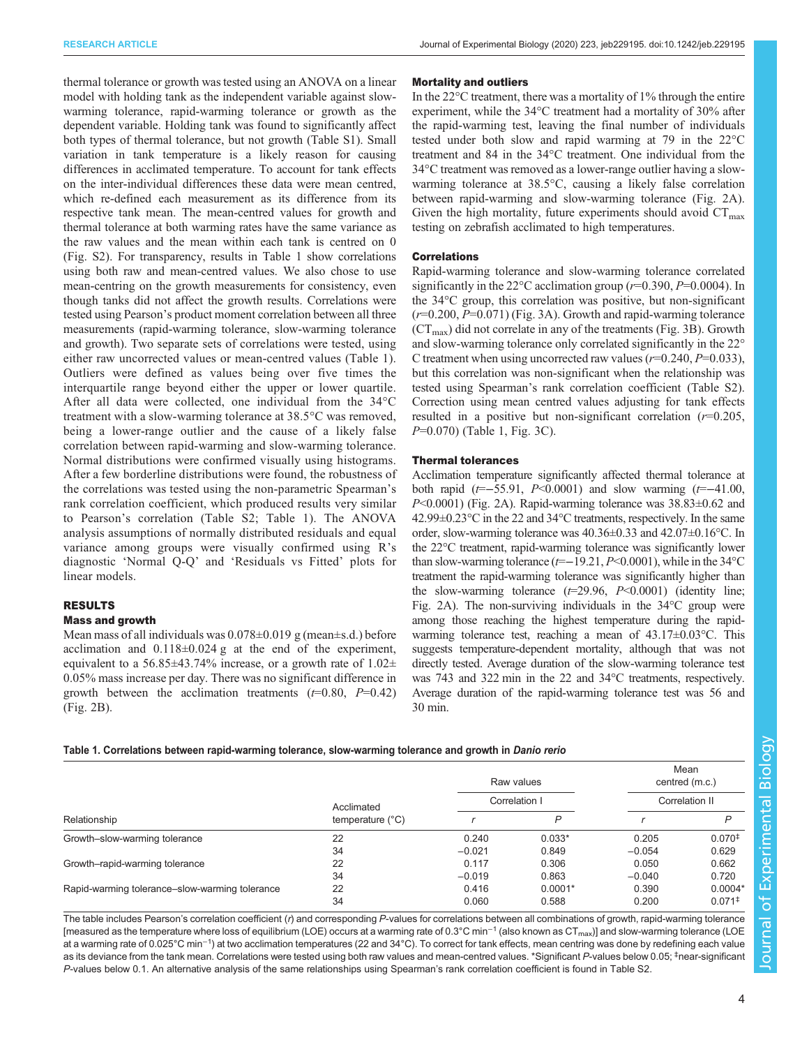thermal tolerance or growth was tested using an ANOVA on a linear model with holding tank as the independent variable against slowwarming tolerance, rapid-warming tolerance or growth as the dependent variable. Holding tank was found to significantly affect both types of thermal tolerance, but not growth [\(Table S1\)](https://jeb.biologists.org/lookup/doi/10.1242/jeb.229195.supplemental). Small variation in tank temperature is a likely reason for causing differences in acclimated temperature. To account for tank effects on the inter-individual differences these data were mean centred, which re-defined each measurement as its difference from its respective tank mean. The mean-centred values for growth and thermal tolerance at both warming rates have the same variance as the raw values and the mean within each tank is centred on 0 [\(Fig. S2\)](https://jeb.biologists.org/lookup/doi/10.1242/jeb.229195.supplemental). For transparency, results in Table 1 show correlations using both raw and mean-centred values. We also chose to use mean-centring on the growth measurements for consistency, even though tanks did not affect the growth results. Correlations were tested using Pearson's product moment correlation between all three measurements (rapid-warming tolerance, slow-warming tolerance and growth). Two separate sets of correlations were tested, using either raw uncorrected values or mean-centred values (Table 1). Outliers were defined as values being over five times the interquartile range beyond either the upper or lower quartile. After all data were collected, one individual from the 34°C treatment with a slow-warming tolerance at 38.5°C was removed, being a lower-range outlier and the cause of a likely false correlation between rapid-warming and slow-warming tolerance. Normal distributions were confirmed visually using histograms. After a few borderline distributions were found, the robustness of the correlations was tested using the non-parametric Spearman's rank correlation coefficient, which produced results very similar to Pearson's correlation [\(Table S2](https://jeb.biologists.org/lookup/doi/10.1242/jeb.229195.supplemental); Table 1). The ANOVA analysis assumptions of normally distributed residuals and equal variance among groups were visually confirmed using R's diagnostic 'Normal Q-Q' and 'Residuals vs Fitted' plots for linear models.

### RESULTS

#### Mass and growth

Mean mass of all individuals was  $0.078\pm0.019$  g (mean $\pm$ s.d.) before acclimation and  $0.118\pm0.024$  g at the end of the experiment, equivalent to a 56.85 $\pm$ 43.74% increase, or a growth rate of 1.02 $\pm$ 0.05% mass increase per day. There was no significant difference in growth between the acclimation treatments  $(=0.80, P=0.42)$ [\(Fig. 2](#page-4-0)B).

#### Mortality and outliers

In the 22°C treatment, there was a mortality of 1% through the entire experiment, while the 34°C treatment had a mortality of 30% after the rapid-warming test, leaving the final number of individuals tested under both slow and rapid warming at 79 in the 22°C treatment and 84 in the 34°C treatment. One individual from the 34°C treatment was removed as a lower-range outlier having a slowwarming tolerance at 38.5°C, causing a likely false correlation between rapid-warming and slow-warming tolerance [\(Fig. 2A](#page-4-0)). Given the high mortality, future experiments should avoid  $CT_{\text{max}}$ testing on zebrafish acclimated to high temperatures.

#### Correlations

Rapid-warming tolerance and slow-warming tolerance correlated significantly in the 22 $\degree$ C acclimation group ( $r=0.390, P=0.0004$ ). In the 34°C group, this correlation was positive, but non-significant  $(r=0.200, P=0.071)$  [\(Fig. 3](#page-4-0)A). Growth and rapid-warming tolerance  $(CT<sub>max</sub>)$  did not correlate in any of the treatments ([Fig. 3B](#page-4-0)). Growth and slow-warming tolerance only correlated significantly in the 22° C treatment when using uncorrected raw values ( $r=0.240$ ,  $P=0.033$ ), but this correlation was non-significant when the relationship was tested using Spearman's rank correlation coefficient [\(Table S2\)](https://jeb.biologists.org/lookup/doi/10.1242/jeb.229195.supplemental). Correction using mean centred values adjusting for tank effects resulted in a positive but non-significant correlation  $(r=0.205)$ , P=0.070) (Table 1, [Fig. 3](#page-4-0)C).

#### Thermal tolerances

Acclimation temperature significantly affected thermal tolerance at both rapid ( $t=-55.91$ ,  $P<0.0001$ ) and slow warming ( $t=-41.00$ , P<0.0001) ([Fig. 2A](#page-4-0)). Rapid-warming tolerance was 38.83±0.62 and 42.99±0.23°C in the 22 and 34°C treatments, respectively. In the same order, slow-warming tolerance was 40.36±0.33 and 42.07±0.16°C. In the 22°C treatment, rapid-warming tolerance was significantly lower than slow-warming tolerance ( $t=-19.21, P<0.0001$ ), while in the 34°C treatment the rapid-warming tolerance was significantly higher than the slow-warming tolerance  $(t=29.96, P<0.0001)$  (identity line; [Fig. 2](#page-4-0)A). The non-surviving individuals in the 34°C group were among those reaching the highest temperature during the rapidwarming tolerance test, reaching a mean of  $43.17\pm0.03$ °C. This suggests temperature-dependent mortality, although that was not directly tested. Average duration of the slow-warming tolerance test was 743 and 322 min in the 22 and 34°C treatments, respectively. Average duration of the rapid-warming tolerance test was 56 and 30 min.

#### Table 1. Correlations between rapid-warming tolerance, slow-warming tolerance and growth in Danio rerio

| Relationship                                   | Acclimated<br>temperature $(^{\circ}C)$ | Raw values<br>Correlation I   |           | Mean<br>centred (m.c.)<br>Correlation II |                      |
|------------------------------------------------|-----------------------------------------|-------------------------------|-----------|------------------------------------------|----------------------|
|                                                |                                         |                               |           |                                          |                      |
|                                                |                                         | Growth-slow-warming tolerance | 22        | 0.240                                    | $0.033*$             |
| 34                                             | $-0.021$                                |                               | 0.849     | $-0.054$                                 | 0.629                |
| Growth-rapid-warming tolerance                 | 22                                      | 0.117                         | 0.306     | 0.050                                    | 0.662                |
|                                                | 34                                      | $-0.019$                      | 0.863     | $-0.040$                                 | 0.720                |
| Rapid-warming tolerance-slow-warming tolerance | 22                                      | 0.416                         | $0.0001*$ | 0.390                                    | $0.0004*$            |
|                                                | 34                                      | 0.060                         | 0.588     | 0.200                                    | $0.071$ <sup>‡</sup> |

The table includes Pearson's correlation coefficient (r) and corresponding P-values for correlations between all combinations of growth, rapid-warming tolerance [measured as the temperature where loss of equilibrium (LOE) occurs at a warming rate of 0.3°C min<sup>-1</sup> (also known as CT<sub>max</sub>)] and slow-warming tolerance (LOE at a warming rate of 0.025°C min<sup>-1</sup>) at two acclimation temperatures (22 and 34°C). To correct for tank effects, mean centring was done by redefining each value as its deviance from the tank mean. Correlations were tested using both raw values and mean-centred values. \*Significant P-values below 0.05; ‡ near-significant P-values below 0.1. An alternative analysis of the same relationships using Spearman's rank correlation coefficient is found in [Table S2.](https://jeb.biologists.org/lookup/doi/10.1242/jeb.229195.supplemental)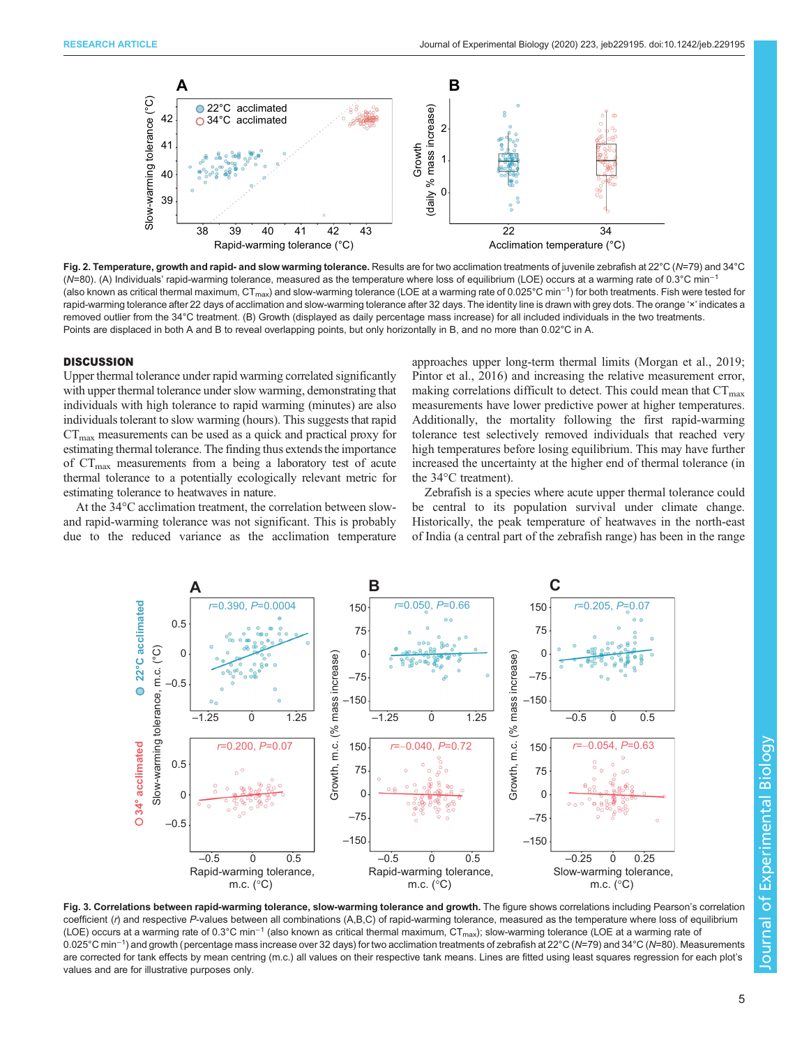<span id="page-4-0"></span>

Fig. 2. Temperature, growth and rapid- and slow warming tolerance. Results are for two acclimation treatments of juvenile zebrafish at 22°C (N=79) and 34°C (N=80). (A) Individuals' rapid-warming tolerance, measured as the temperature where loss of equilibrium (LOE) occurs at a warming rate of 0.3°C min<sup>-1</sup> (also known as critical thermal maximum, CT<sub>max</sub>) and slow-warming tolerance (LOE at a warming rate of 0.025°C min<sup>−1</sup>) for both treatments. Fish were tested for rapid-warming tolerance after 22 days of acclimation and slow-warming tolerance after 32 days. The identity line is drawn with grey dots. The orange 'x' indicates a removed outlier from the 34°C treatment. (B) Growth (displayed as daily percentage mass increase) for all included individuals in the two treatments. Points are displaced in both A and B to reveal overlapping points, but only horizontally in B, and no more than 0.02°C in A.

#### **DISCUSSION**

Upper thermal tolerance under rapid warming correlated significantly with upper thermal tolerance under slow warming, demonstrating that individuals with high tolerance to rapid warming (minutes) are also individuals tolerant to slow warming (hours). This suggests that rapid  $CT<sub>max</sub>$  measurements can be used as a quick and practical proxy for estimating thermal tolerance. The finding thus extends the importance of CT<sub>max</sub> measurements from a being a laboratory test of acute thermal tolerance to a potentially ecologically relevant metric for estimating tolerance to heatwaves in nature.

At the 34°C acclimation treatment, the correlation between slowand rapid-warming tolerance was not significant. This is probably due to the reduced variance as the acclimation temperature

approaches upper long-term thermal limits [\(Morgan et al., 2019](#page-6-0); [Pintor et al., 2016](#page-6-0)) and increasing the relative measurement error, making correlations difficult to detect. This could mean that  $CT_{\text{max}}$ measurements have lower predictive power at higher temperatures. Additionally, the mortality following the first rapid-warming tolerance test selectively removed individuals that reached very high temperatures before losing equilibrium. This may have further increased the uncertainty at the higher end of thermal tolerance (in the 34°C treatment).

Zebrafish is a species where acute upper thermal tolerance could be central to its population survival under climate change. Historically, the peak temperature of heatwaves in the north-east of India (a central part of the zebrafish range) has been in the range



Fig. 3. Correlations between rapid-warming tolerance, slow-warming tolerance and growth. The figure shows correlations including Pearson's correlation coefficient (r) and respective P-values between all combinations (A,B,C) of rapid-warming tolerance, measured as the temperature where loss of equilibrium (LOE) occurs at a warming rate of 0.3°C min<sup>-1</sup> (also known as critical thermal maximum, CT<sub>max</sub>); slow-warming tolerance (LOE at a warming rate of 0.025°C min−<sup>1</sup> ) and growth (percentage mass increase over 32 days) for two acclimation treatments of zebrafish at 22°C (N=79) and 34°C (N=80). Measurements are corrected for tank effects by mean centring (m.c.) all values on their respective tank means. Lines are fitted using least squares regression for each plot's values and are for illustrative purposes only.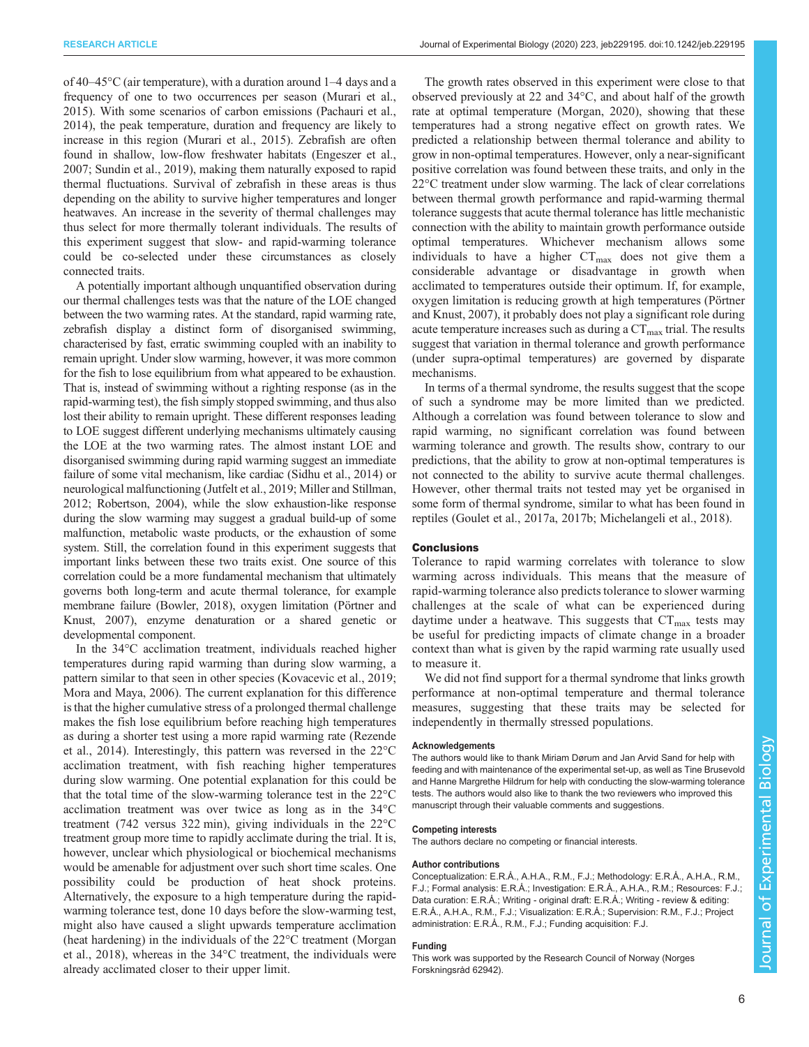of 40–45°C (air temperature), with a duration around 1–4 days and a frequency of one to two occurrences per season [\(Murari et al.,](#page-6-0) [2015](#page-6-0)). With some scenarios of carbon emissions ([Pachauri et al.,](#page-6-0) [2014](#page-6-0)), the peak temperature, duration and frequency are likely to increase in this region ([Murari et al., 2015\)](#page-6-0). Zebrafish are often found in shallow, low-flow freshwater habitats [\(Engeszer et al.,](#page-6-0) [2007](#page-6-0); [Sundin et al., 2019](#page-6-0)), making them naturally exposed to rapid thermal fluctuations. Survival of zebrafish in these areas is thus depending on the ability to survive higher temperatures and longer heatwaves. An increase in the severity of thermal challenges may thus select for more thermally tolerant individuals. The results of this experiment suggest that slow- and rapid-warming tolerance could be co-selected under these circumstances as closely connected traits.

A potentially important although unquantified observation during our thermal challenges tests was that the nature of the LOE changed between the two warming rates. At the standard, rapid warming rate, zebrafish display a distinct form of disorganised swimming, characterised by fast, erratic swimming coupled with an inability to remain upright. Under slow warming, however, it was more common for the fish to lose equilibrium from what appeared to be exhaustion. That is, instead of swimming without a righting response (as in the rapid-warming test), the fish simply stopped swimming, and thus also lost their ability to remain upright. These different responses leading to LOE suggest different underlying mechanisms ultimately causing the LOE at the two warming rates. The almost instant LOE and disorganised swimming during rapid warming suggest an immediate failure of some vital mechanism, like cardiac ([Sidhu et al., 2014\)](#page-6-0) or neurological malfunctioning [\(Jutfelt et al., 2019](#page-6-0); [Miller and Stillman,](#page-6-0) [2012; Robertson, 2004](#page-6-0)), while the slow exhaustion-like response during the slow warming may suggest a gradual build-up of some malfunction, metabolic waste products, or the exhaustion of some system. Still, the correlation found in this experiment suggests that important links between these two traits exist. One source of this correlation could be a more fundamental mechanism that ultimately governs both long-term and acute thermal tolerance, for example membrane failure [\(Bowler, 2018](#page-6-0)), oxygen limitation ([Pörtner and](#page-6-0) [Knust, 2007](#page-6-0)), enzyme denaturation or a shared genetic or developmental component.

In the 34°C acclimation treatment, individuals reached higher temperatures during rapid warming than during slow warming, a pattern similar to that seen in other species [\(Kovacevic et al., 2019](#page-6-0); [Mora and Maya, 2006](#page-6-0)). The current explanation for this difference is that the higher cumulative stress of a prolonged thermal challenge makes the fish lose equilibrium before reaching high temperatures as during a shorter test using a more rapid warming rate ([Rezende](#page-6-0) [et al., 2014\)](#page-6-0). Interestingly, this pattern was reversed in the 22°C acclimation treatment, with fish reaching higher temperatures during slow warming. One potential explanation for this could be that the total time of the slow-warming tolerance test in the 22°C acclimation treatment was over twice as long as in the 34°C treatment (742 versus 322 min), giving individuals in the 22°C treatment group more time to rapidly acclimate during the trial. It is, however, unclear which physiological or biochemical mechanisms would be amenable for adjustment over such short time scales. One possibility could be production of heat shock proteins. Alternatively, the exposure to a high temperature during the rapidwarming tolerance test, done 10 days before the slow-warming test, might also have caused a slight upwards temperature acclimation (heat hardening) in the individuals of the 22°C treatment [\(Morgan](#page-6-0) [et al., 2018\)](#page-6-0), whereas in the 34°C treatment, the individuals were already acclimated closer to their upper limit.

The growth rates observed in this experiment were close to that observed previously at 22 and 34°C, and about half of the growth rate at optimal temperature [\(Morgan, 2020\)](#page-6-0), showing that these temperatures had a strong negative effect on growth rates. We predicted a relationship between thermal tolerance and ability to grow in non-optimal temperatures. However, only a near-significant positive correlation was found between these traits, and only in the 22°C treatment under slow warming. The lack of clear correlations between thermal growth performance and rapid-warming thermal tolerance suggests that acute thermal tolerance has little mechanistic connection with the ability to maintain growth performance outside optimal temperatures. Whichever mechanism allows some individuals to have a higher  $CT_{\text{max}}$  does not give them a considerable advantage or disadvantage in growth when acclimated to temperatures outside their optimum. If, for example, oxygen limitation is reducing growth at high temperatures [\(Pörtner](#page-6-0) [and Knust, 2007\)](#page-6-0), it probably does not play a significant role during acute temperature increases such as during a  $CT<sub>max</sub>$  trial. The results suggest that variation in thermal tolerance and growth performance (under supra-optimal temperatures) are governed by disparate mechanisms.

In terms of a thermal syndrome, the results suggest that the scope of such a syndrome may be more limited than we predicted. Although a correlation was found between tolerance to slow and rapid warming, no significant correlation was found between warming tolerance and growth. The results show, contrary to our predictions, that the ability to grow at non-optimal temperatures is not connected to the ability to survive acute thermal challenges. However, other thermal traits not tested may yet be organised in some form of thermal syndrome, similar to what has been found in reptiles [\(Goulet et al., 2017a](#page-6-0), [2017b](#page-6-0); [Michelangeli et al., 2018](#page-6-0)).

#### **Conclusions**

Tolerance to rapid warming correlates with tolerance to slow warming across individuals. This means that the measure of rapid-warming tolerance also predicts tolerance to slower warming challenges at the scale of what can be experienced during daytime under a heatwave. This suggests that  $CT_{\text{max}}$  tests may be useful for predicting impacts of climate change in a broader context than what is given by the rapid warming rate usually used to measure it.

We did not find support for a thermal syndrome that links growth performance at non-optimal temperature and thermal tolerance measures, suggesting that these traits may be selected for independently in thermally stressed populations.

#### Acknowledgements

The authors would like to thank Miriam Dørum and Jan Arvid Sand for help with feeding and with maintenance of the experimental set-up, as well as Tine Brusevold and Hanne Margrethe Hildrum for help with conducting the slow-warming tolerance tests. The authors would also like to thank the two reviewers who improved this manuscript through their valuable comments and suggestions.

#### Competing interests

The authors declare no competing or financial interests.

#### Author contributions

Conceptualization: E.R.Å., A.H.A., R.M., F.J.; Methodology: E.R.Å., A.H.A., R.M., F.J.; Formal analysis: E.R.Å.; Investigation: E.R.Å., A.H.A., R.M.; Resources: F.J.; Data curation: E.R.Å.; Writing - original draft: E.R.Å.; Writing - review & editing: E.R.Å., A.H.A., R.M., F.J.; Visualization: E.R.Å.; Supervision: R.M., F.J.; Project administration: E.R.Å., R.M., F.J.; Funding acquisition: F.J.

### Funding

This work was supported by the Research Council of Norway (Norges Forskningsråd 62942).